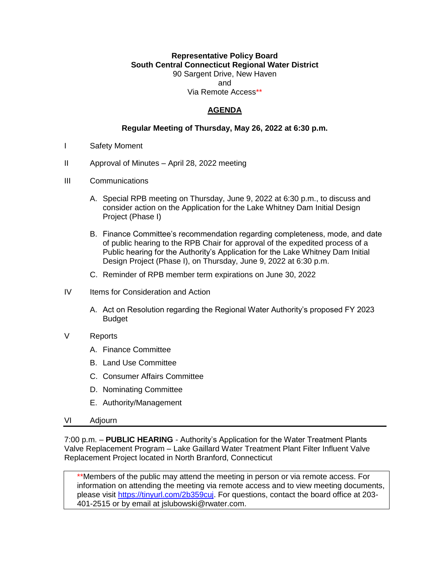## **Representative Policy Board South Central Connecticut Regional Water District** 90 Sargent Drive, New Haven and Via Remote Access\*\*

# **AGENDA**

#### **Regular Meeting of Thursday, May 26, 2022 at 6:30 p.m.**

- I Safety Moment
- II Approval of Minutes April 28, 2022 meeting
- III Communications
	- A. Special RPB meeting on Thursday, June 9, 2022 at 6:30 p.m., to discuss and consider action on the Application for the Lake Whitney Dam Initial Design Project (Phase I)
	- B. Finance Committee's recommendation regarding completeness, mode, and date of public hearing to the RPB Chair for approval of the expedited process of a Public hearing for the Authority's Application for the Lake Whitney Dam Initial Design Project (Phase I), on Thursday, June 9, 2022 at 6:30 p.m.
	- C. Reminder of RPB member term expirations on June 30, 2022
- IV Items for Consideration and Action
	- A. Act on Resolution regarding the Regional Water Authority's proposed FY 2023 Budget
- V Reports
	- A. Finance Committee
	- B. Land Use Committee
	- C. Consumer Affairs Committee
	- D. Nominating Committee
	- E. Authority/Management
- VI Adjourn

7:00 p.m. – **PUBLIC HEARING** - Authority's Application for the Water Treatment Plants Valve Replacement Program – Lake Gaillard Water Treatment Plant Filter Influent Valve Replacement Project located in North Branford, Connecticut

\*\*Members of the public may attend the meeting in person or via remote access. For information on attending the meeting via remote access and to view meeting documents, please visit [https://tinyurl.com/2b359cuj.](https://tinyurl.com/2b359cuj) For questions, contact the board office at 203- 401-2515 or by email at jslubowski@rwater.com.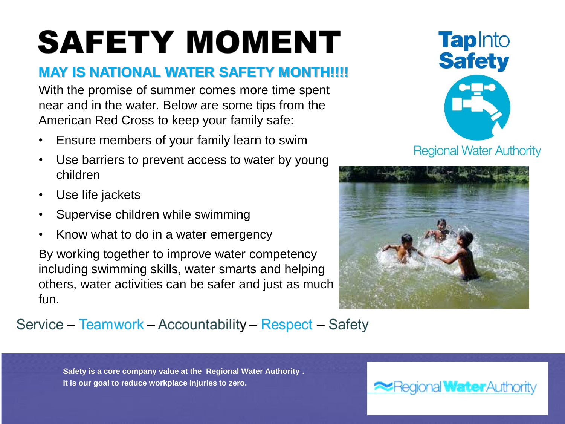# **SAFETY MOMENT**

# **MAY IS NATIONAL WATER SAFETY MONTH!!!!**

With the promise of summer comes more time spent near and in the water. Below are some tips from the American Red Cross to keep your family safe:

- Ensure members of your family learn to swim
- Use barriers to prevent access to water by young children
- Use life jackets
- Supervise children while swimming
- Know what to do in a water emergency

By working together to improve water competency including swimming skills, water smarts and helping others, water activities can be safer and just as much fun.



**Regional Water Authority** 



# Service – Teamwork – Accountability – Respect – Safety

**Safety is a core company value at the Regional Water Authority . It is our goal to reduce workplace injuries to zero.** 

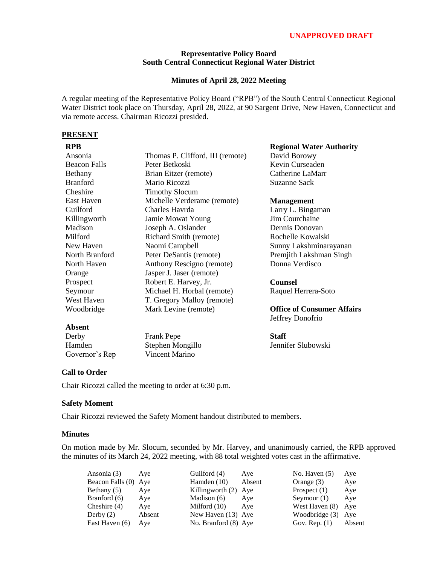#### **UNAPPROVED DRAFT**

#### **Representative Policy Board South Central Connecticut Regional Water District**

#### **Minutes of April 28, 2022 Meeting**

A regular meeting of the Representative Policy Board ("RPB") of the South Central Connecticut Regional Water District took place on Thursday, April 28, 2022, at 90 Sargent Drive, New Haven, Connecticut and via remote access. Chairman Ricozzi presided.

#### **PRESENT**

| Ansonia             | Thomas P. Clifford, III (remote) |
|---------------------|----------------------------------|
| <b>Beacon Falls</b> | Peter Betkoski                   |
| Bethany             | Brian Eitzer (remote)            |
| <b>Branford</b>     | Mario Ricozzi                    |
| Cheshire            | <b>Timothy Slocum</b>            |
| East Haven          | Michelle Verderame (remote)      |
| Guilford            | Charles Havrda                   |
| Killingworth        | Jamie Mowat Young                |
| Madison             | Joseph A. Oslander               |
| Milford             | Richard Smith (remote)           |
| New Haven           | Naomi Campbell                   |
| North Branford      | Peter DeSantis (remote)          |
| North Haven         | Anthony Rescigno (remote)        |
| Orange              | Jasper J. Jaser (remote)         |
| Prospect            | Robert E. Harvey, Jr.            |
| Seymour             | Michael H. Horbal (remote)       |
| West Haven          | T. Gregory Malloy (remote)       |
| Woodbridge          | Mark Levine (remote)             |
|                     |                                  |

#### **Regional Water Authority**

David Borowy Kevin Curseaden Catherine LaMarr Suzanne Sack

#### **Management**

Larry L. Bingaman Jim Courchaine Dennis Donovan Rochelle Kowalski Sunny Lakshminarayanan Premjith Lakshman Singh Donna Verdisco

## **Counsel**

Raquel Herrera-Soto

**Office of Consumer Affairs** Jeffrey Donofrio

# **Absent**

| Derby          | <b>Frank Pepe</b> |
|----------------|-------------------|
| Hamden         | Stephen Mongillo  |
| Governor's Rep | Vincent Marino    |

**Staff** Jennifer Slubowski

#### **Call to Order**

Chair Ricozzi called the meeting to order at 6:30 p.m.

#### **Safety Moment**

Chair Ricozzi reviewed the Safety Moment handout distributed to members.

#### **Minutes**

On motion made by Mr. Slocum, seconded by Mr. Harvey, and unanimously carried, the RPB approved the minutes of its March 24, 2022 meeting, with 88 total weighted votes cast in the affirmative.

| Ansonia (3)      | Aye    | Guilford (4)         | Aye  |
|------------------|--------|----------------------|------|
| Beacon Falls (0) | Aye    | Hamden (10)          | Abse |
| Bethany (5)      | Aye    | Killingworth $(2)$   | Aye  |
| Branford (6)     | Aye    | Madison (6)          | Aye  |
| Cheshire $(4)$   | Aye    | Milford (10)         | Aye  |
| Derby $(2)$      | Absent | New Haven (13) Aye   |      |
| East Haven (6)   | Aye    | No. Branford (8) Aye |      |
|                  |        |                      |      |

Hamden  $(10)$  Absent Killingworth  $(2)$  Aye  $Madison (6)$  Aye Milford  $(10)$  Aye  $W$ ew Haven (13) Aye No. Branford (8) Aye Gov. Rep. (1) Absent

| No. Haven $(5)$  | Aye    |
|------------------|--------|
| Orange (3)       | Aye    |
| Prospect $(1)$   | Aye    |
| Seymour $(1)$    | Aye    |
| West Haven (8)   | Aye    |
| Woodbridge (3)   | Aye    |
| $Gov$ Rep. $(1)$ | Ahsent |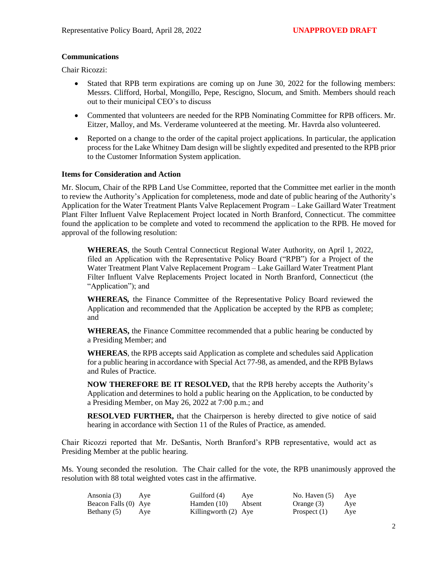#### **Communications**

Chair Ricozzi:

- Stated that RPB term expirations are coming up on June 30, 2022 for the following members: Messrs. Clifford, Horbal, Mongillo, Pepe, Rescigno, Slocum, and Smith. Members should reach out to their municipal CEO's to discuss
- Commented that volunteers are needed for the RPB Nominating Committee for RPB officers. Mr. Eitzer, Malloy, and Ms. Verderame volunteered at the meeting. Mr. Havrda also volunteered.
- Reported on a change to the order of the capital project applications. In particular, the application process for the Lake Whitney Dam design will be slightly expedited and presented to the RPB prior to the Customer Information System application.

#### **Items for Consideration and Action**

Mr. Slocum, Chair of the RPB Land Use Committee, reported that the Committee met earlier in the month to review the Authority's Application for completeness, mode and date of public hearing of the Authority's Application for the Water Treatment Plants Valve Replacement Program – Lake Gaillard Water Treatment Plant Filter Influent Valve Replacement Project located in North Branford, Connecticut. The committee found the application to be complete and voted to recommend the application to the RPB. He moved for approval of the following resolution:

**WHEREAS**, the South Central Connecticut Regional Water Authority, on April 1, 2022, filed an Application with the Representative Policy Board ("RPB") for a Project of the Water Treatment Plant Valve Replacement Program – Lake Gaillard Water Treatment Plant Filter Influent Valve Replacements Project located in North Branford, Connecticut (the "Application"); and

**WHEREAS***,* the Finance Committee of the Representative Policy Board reviewed the Application and recommended that the Application be accepted by the RPB as complete; and

**WHEREAS,** the Finance Committee recommended that a public hearing be conducted by a Presiding Member; and

**WHEREAS**, the RPB accepts said Application as complete and schedules said Application for a public hearing in accordance with Special Act 77-98, as amended, and the RPB Bylaws and Rules of Practice.

**NOW THEREFORE BE IT RESOLVED,** that the RPB hereby accepts the Authority's Application and determines to hold a public hearing on the Application, to be conducted by a Presiding Member, on May 26, 2022 at 7:00 p.m.; and

**RESOLVED FURTHER,** that the Chairperson is hereby directed to give notice of said hearing in accordance with Section 11 of the Rules of Practice, as amended.

Chair Ricozzi reported that Mr. DeSantis, North Branford's RPB representative, would act as Presiding Member at the public hearing.

Ms. Young seconded the resolution. The Chair called for the vote, the RPB unanimously approved the resolution with 88 total weighted votes cast in the affirmative.

| Ansonia (3)          | Ave | Guilford (4)           | Ave | No. Haven $(5)$ | Aye |
|----------------------|-----|------------------------|-----|-----------------|-----|
| Beacon Falls (0) Aye |     | Hamden (10) Absent     |     | Orange (3)      | Aye |
| Bethany (5)          | Aye | Killingworth $(2)$ Aye |     | Prospect $(1)$  | Aye |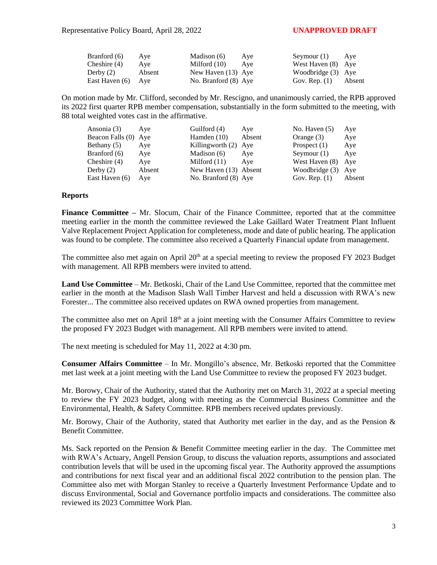| Branford (6)       | Ave    | Madison (6)          | Ave | Seymour (1)          | Aye    |
|--------------------|--------|----------------------|-----|----------------------|--------|
| Cheshire $(4)$     | Ave    | Milford $(10)$       | Ave | West Haven (8) Aye   |        |
| Derby $(2)$        | Absent | New Haven (13) Aye   |     | Woodbridge $(3)$ Aye |        |
| East Haven (6) Aye |        | No. Branford (8) Aye |     | Gov. Rep. $(1)$      | Absent |

On motion made by Mr. Clifford, seconded by Mr. Rescigno, and unanimously carried, the RPB approved its 2022 first quarter RPB member compensation, substantially in the form submitted to the meeting, with 88 total weighted votes cast in the affirmative.

| Ansonia (3)          | Ave    | Guilford (4)          | Aye    | No. Haven $(5)$ | Aye    |
|----------------------|--------|-----------------------|--------|-----------------|--------|
| Beacon Falls (0) Aye |        | Hamden $(10)$         | Absent | Orange (3)      | Aye    |
| Bethany $(5)$        | Aye    | Killingworth (2) Aye  |        | Prospect $(1)$  | Aye    |
| Branford (6)         | Aye    | Madison (6)           | Aye    | Seymour $(1)$   | Aye    |
| Cheshire $(4)$       | Aye    | Milford $(11)$        | Ave    | West Haven (8)  | Ave    |
| Derby $(2)$          | Absent | New Haven (13) Absent |        | Woodbridge (3)  | Ave    |
| East Haven (6)       | Aye    | No. Branford (8) Aye  |        | Gov. Rep. $(1)$ | Absent |

#### **Reports**

**Finance Committee –** Mr. Slocum, Chair of the Finance Committee, reported that at the committee meeting earlier in the month the committee reviewed the Lake Gaillard Water Treatment Plant Influent Valve Replacement Project Application for completeness, mode and date of public hearing. The application was found to be complete. The committee also received a Quarterly Financial update from management.

The committee also met again on April  $20<sup>th</sup>$  at a special meeting to review the proposed FY 2023 Budget with management. All RPB members were invited to attend.

**Land Use Committee** – Mr. Betkoski, Chair of the Land Use Committee, reported that the committee met earlier in the month at the Madison Slash Wall Timber Harvest and held a discussion with RWA's new Forester... The committee also received updates on RWA owned properties from management.

The committee also met on April  $18<sup>th</sup>$  at a joint meeting with the Consumer Affairs Committee to review the proposed FY 2023 Budget with management. All RPB members were invited to attend.

The next meeting is scheduled for May 11, 2022 at 4:30 pm.

**Consumer Affairs Committee** – In Mr. Mongillo's absence, Mr. Betkoski reported that the Committee met last week at a joint meeting with the Land Use Committee to review the proposed FY 2023 budget.

Mr. Borowy, Chair of the Authority, stated that the Authority met on March 31, 2022 at a special meeting to review the FY 2023 budget, along with meeting as the Commercial Business Committee and the Environmental, Health, & Safety Committee. RPB members received updates previously.

Mr. Borowy, Chair of the Authority, stated that Authority met earlier in the day, and as the Pension  $\&$ Benefit Committee.

Ms. Sack reported on the Pension & Benefit Committee meeting earlier in the day. The Committee met with RWA's Actuary, Angell Pension Group, to discuss the valuation reports, assumptions and associated contribution levels that will be used in the upcoming fiscal year. The Authority approved the assumptions and contributions for next fiscal year and an additional fiscal 2022 contribution to the pension plan. The Committee also met with Morgan Stanley to receive a Quarterly Investment Performance Update and to discuss Environmental, Social and Governance portfolio impacts and considerations. The committee also reviewed its 2023 Committee Work Plan.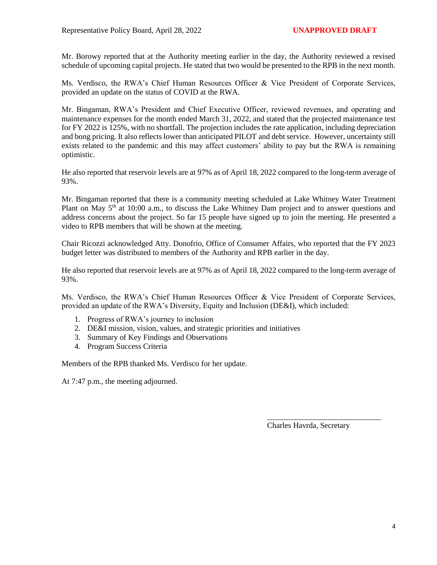Mr. Borowy reported that at the Authority meeting earlier in the day, the Authority reviewed a revised schedule of upcoming capital projects. He stated that two would be presented to the RPB in the next month.

Ms. Verdisco, the RWA's Chief Human Resources Officer & Vice President of Corporate Services, provided an update on the status of COVID at the RWA.

Mr. Bingaman, RWA's President and Chief Executive Officer, reviewed revenues, and operating and maintenance expenses for the month ended March 31, 2022, and stated that the projected maintenance test for FY 2022 is 125%, with no shortfall. The projection includes the rate application, including depreciation and bong pricing. It also reflects lower than anticipated PILOT and debt service. However, uncertainty still exists related to the pandemic and this may affect customers' ability to pay but the RWA is remaining optimistic.

He also reported that reservoir levels are at 97% as of April 18, 2022 compared to the long-term average of 93%.

Mr. Bingaman reported that there is a community meeting scheduled at Lake Whitney Water Treatment Plant on May 5<sup>th</sup> at 10:00 a.m., to discuss the Lake Whitney Dam project and to answer questions and address concerns about the project. So far 15 people have signed up to join the meeting. He presented a video to RPB members that will be shown at the meeting.

Chair Ricozzi acknowledged Atty. Donofrio, Office of Consumer Affairs, who reported that the FY 2023 budget letter was distributed to members of the Authority and RPB earlier in the day.

He also reported that reservoir levels are at 97% as of April 18, 2022 compared to the long-term average of 93%.

Ms. Verdisco, the RWA's Chief Human Resources Officer & Vice President of Corporate Services, provided an update of the RWA's Diversity, Equity and Inclusion (DE&I), which included:

- 1. Progress of RWA's journey to inclusion
- 2. DE&I mission, vision, values, and strategic priorities and initiatives
- 3. Summary of Key Findings and Observations
- 4. Program Success Criteria

Members of the RPB thanked Ms. Verdisco for her update.

At 7:47 p.m., the meeting adjourned.

Charles Havrda, Secretary

\_\_\_\_\_\_\_\_\_\_\_\_\_\_\_\_\_\_\_\_\_\_\_\_\_\_\_\_\_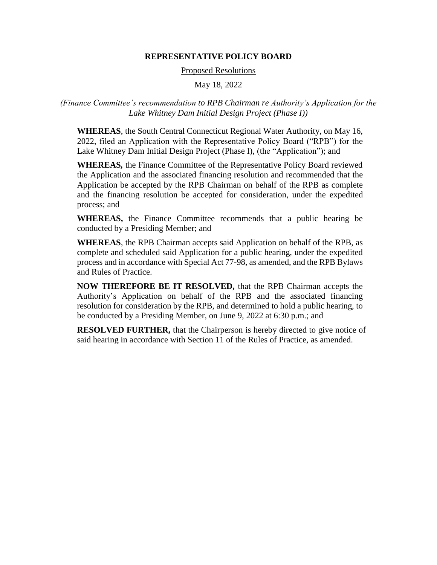#### **REPRESENTATIVE POLICY BOARD**

#### Proposed Resolutions

May 18, 2022

## *(Finance Committee's recommendation to RPB Chairman re Authority's Application for the Lake Whitney Dam Initial Design Project (Phase I))*

**WHEREAS**, the South Central Connecticut Regional Water Authority, on May 16, 2022, filed an Application with the Representative Policy Board ("RPB") for the Lake Whitney Dam Initial Design Project (Phase I), (the "Application"); and

**WHEREAS***,* the Finance Committee of the Representative Policy Board reviewed the Application and the associated financing resolution and recommended that the Application be accepted by the RPB Chairman on behalf of the RPB as complete and the financing resolution be accepted for consideration, under the expedited process; and

**WHEREAS,** the Finance Committee recommends that a public hearing be conducted by a Presiding Member; and

**WHEREAS**, the RPB Chairman accepts said Application on behalf of the RPB, as complete and scheduled said Application for a public hearing, under the expedited process and in accordance with Special Act 77-98, as amended, and the RPB Bylaws and Rules of Practice.

**NOW THEREFORE BE IT RESOLVED,** that the RPB Chairman accepts the Authority's Application on behalf of the RPB and the associated financing resolution for consideration by the RPB, and determined to hold a public hearing, to be conducted by a Presiding Member, on June 9, 2022 at 6:30 p.m.; and

**RESOLVED FURTHER,** that the Chairperson is hereby directed to give notice of said hearing in accordance with Section 11 of the Rules of Practice, as amended.